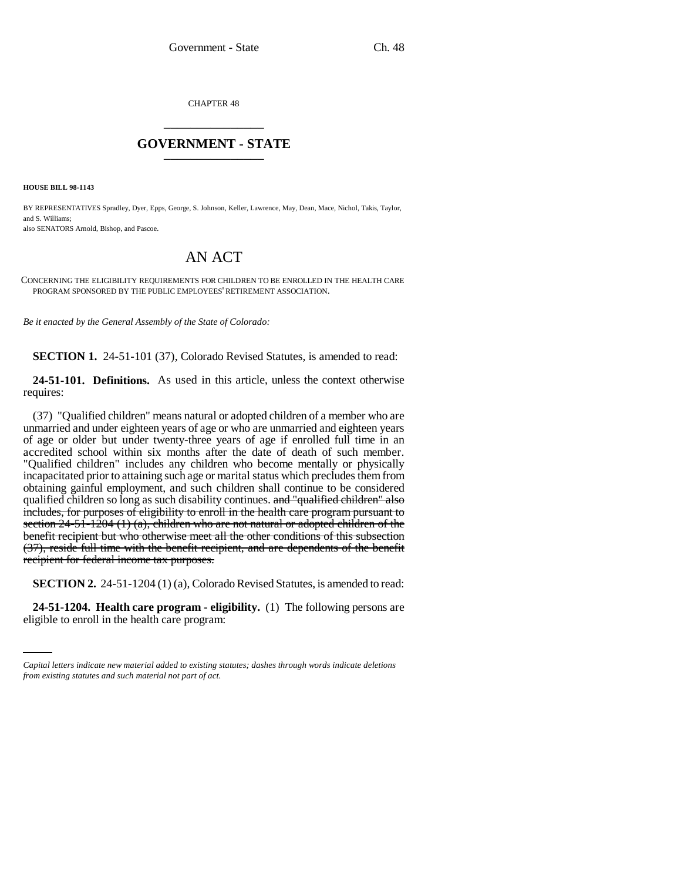CHAPTER 48 \_\_\_\_\_\_\_\_\_\_\_\_\_\_\_

## **GOVERNMENT - STATE** \_\_\_\_\_\_\_\_\_\_\_\_\_\_\_

**HOUSE BILL 98-1143**

BY REPRESENTATIVES Spradley, Dyer, Epps, George, S. Johnson, Keller, Lawrence, May, Dean, Mace, Nichol, Takis, Taylor, and S. Williams;

also SENATORS Arnold, Bishop, and Pascoe.

## AN ACT

CONCERNING THE ELIGIBILITY REQUIREMENTS FOR CHILDREN TO BE ENROLLED IN THE HEALTH CARE PROGRAM SPONSORED BY THE PUBLIC EMPLOYEES' RETIREMENT ASSOCIATION.

*Be it enacted by the General Assembly of the State of Colorado:*

**SECTION 1.** 24-51-101 (37), Colorado Revised Statutes, is amended to read:

**24-51-101. Definitions.** As used in this article, unless the context otherwise requires:

(37) "Qualified children" means natural or adopted children of a member who are unmarried and under eighteen years of age or who are unmarried and eighteen years of age or older but under twenty-three years of age if enrolled full time in an accredited school within six months after the date of death of such member. "Qualified children" includes any children who become mentally or physically incapacitated prior to attaining such age or marital status which precludes them from obtaining gainful employment, and such children shall continue to be considered qualified children so long as such disability continues. and "qualified children" also includes, for purposes of eligibility to enroll in the health care program pursuant to section 24-51-1204 (1) (a), children who are not natural or adopted children of the benefit recipient but who otherwise meet all the other conditions of this subsection (37), reside full time with the benefit recipient, and are dependents of the benefit recipient for federal income tax purposes.

**SECTION 2.** 24-51-1204 (1) (a), Colorado Revised Statutes, is amended to read:

**24-51-1204. Health care program - eligibility.** (1) The following persons are eligible to enroll in the health care program:

*Capital letters indicate new material added to existing statutes; dashes through words indicate deletions from existing statutes and such material not part of act.*